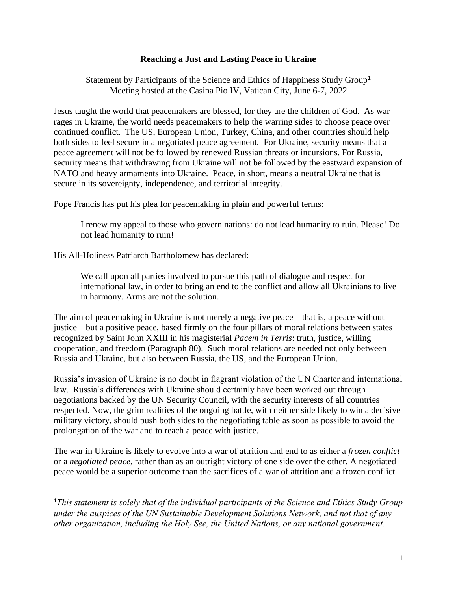## **Reaching a Just and Lasting Peace in Ukraine**

Statement by Participants of the Science and Ethics of Happiness Study Group<sup>1</sup> Meeting hosted at the Casina Pio IV, Vatican City, June 6-7, 2022

Jesus taught the world that peacemakers are blessed, for they are the children of God. As war rages in Ukraine, the world needs peacemakers to help the warring sides to choose peace over continued conflict. The US, European Union, Turkey, China, and other countries should help both sides to feel secure in a negotiated peace agreement. For Ukraine, security means that a peace agreement will not be followed by renewed Russian threats or incursions. For Russia, security means that withdrawing from Ukraine will not be followed by the eastward expansion of NATO and heavy armaments into Ukraine. Peace, in short, means a neutral Ukraine that is secure in its sovereignty, independence, and territorial integrity.

Pope Francis has put his plea for peacemaking in plain and powerful terms:

I renew my appeal to those who govern nations: do not lead humanity to ruin. Please! Do not lead humanity to ruin!

His All-Holiness Patriarch Bartholomew has declared:

We call upon all parties involved to pursue this path of dialogue and respect for international law, in order to bring an end to the conflict and allow all Ukrainians to live in harmony. Arms are not the solution.

The aim of peacemaking in Ukraine is not merely a negative peace – that is, a peace without justice – but a positive peace, based firmly on the four pillars of moral relations between states recognized by Saint John XXIII in his magisterial *Pacem in Terris*: truth, justice, willing cooperation, and freedom (Paragraph 80). Such moral relations are needed not only between Russia and Ukraine, but also between Russia, the US, and the European Union.

Russia's invasion of Ukraine is no doubt in flagrant violation of the UN Charter and international law. Russia's differences with Ukraine should certainly have been worked out through negotiations backed by the UN Security Council, with the security interests of all countries respected. Now, the grim realities of the ongoing battle, with neither side likely to win a decisive military victory, should push both sides to the negotiating table as soon as possible to avoid the prolongation of the war and to reach a peace with justice.

The war in Ukraine is likely to evolve into a war of attrition and end to as either a *frozen conflict* or a *negotiated peace*, rather than as an outright victory of one side over the other. A negotiated peace would be a superior outcome than the sacrifices of a war of attrition and a frozen conflict

<sup>1</sup>*This statement is solely that of the individual participants of the Science and Ethics Study Group under the auspices of the UN Sustainable Development Solutions Network, and not that of any other organization, including the Holy See, the United Nations, or any national government.*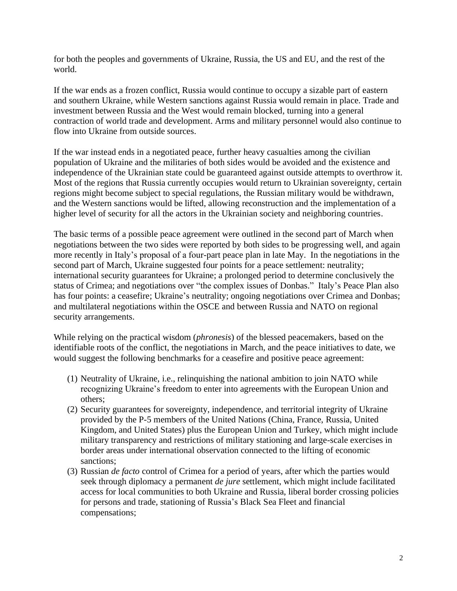for both the peoples and governments of Ukraine, Russia, the US and EU, and the rest of the world.

If the war ends as a frozen conflict, Russia would continue to occupy a sizable part of eastern and southern Ukraine, while Western sanctions against Russia would remain in place. Trade and investment between Russia and the West would remain blocked, turning into a general contraction of world trade and development. Arms and military personnel would also continue to flow into Ukraine from outside sources.

If the war instead ends in a negotiated peace, further heavy casualties among the civilian population of Ukraine and the militaries of both sides would be avoided and the existence and independence of the Ukrainian state could be guaranteed against outside attempts to overthrow it. Most of the regions that Russia currently occupies would return to Ukrainian sovereignty, certain regions might become subject to special regulations, the Russian military would be withdrawn, and the Western sanctions would be lifted, allowing reconstruction and the implementation of a higher level of security for all the actors in the Ukrainian society and neighboring countries.

The basic terms of a possible peace agreement were outlined in the second part of March when negotiations between the two sides were reported by both sides to be progressing well, and again more recently in Italy's proposal of a four-part peace plan in late May. In the negotiations in the second part of March, Ukraine suggested four points for a peace settlement: neutrality; international security guarantees for Ukraine; a prolonged period to determine conclusively the status of Crimea; and negotiations over "the complex issues of Donbas." Italy's Peace Plan also has four points: a ceasefire; Ukraine's neutrality; ongoing negotiations over Crimea and Donbas; and multilateral negotiations within the OSCE and between Russia and NATO on regional security arrangements.

While relying on the practical wisdom (*phronesis*) of the blessed peacemakers, based on the identifiable roots of the conflict, the negotiations in March, and the peace initiatives to date, we would suggest the following benchmarks for a ceasefire and positive peace agreement:

- (1) Neutrality of Ukraine, i.e., relinquishing the national ambition to join NATO while recognizing Ukraine's freedom to enter into agreements with the European Union and others;
- (2) Security guarantees for sovereignty, independence, and territorial integrity of Ukraine provided by the P-5 members of the United Nations (China, France, Russia, United Kingdom, and United States) plus the European Union and Turkey, which might include military transparency and restrictions of military stationing and large-scale exercises in border areas under international observation connected to the lifting of economic sanctions;
- (3) Russian *de facto* control of Crimea for a period of years, after which the parties would seek through diplomacy a permanent *de jure* settlement, which might include facilitated access for local communities to both Ukraine and Russia, liberal border crossing policies for persons and trade, stationing of Russia's Black Sea Fleet and financial compensations;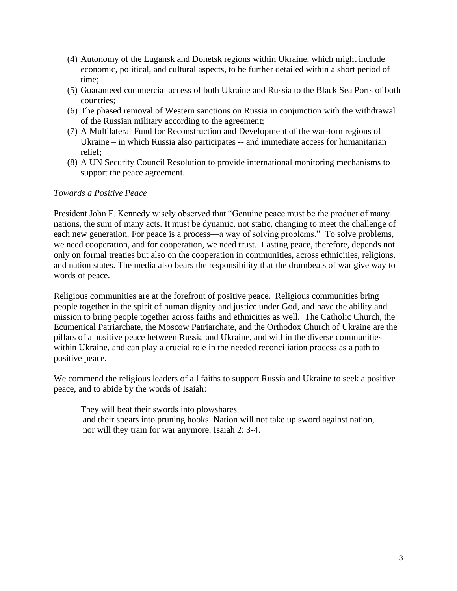- (4) Autonomy of the Lugansk and Donetsk regions within Ukraine, which might include economic, political, and cultural aspects, to be further detailed within a short period of time;
- (5) Guaranteed commercial access of both Ukraine and Russia to the Black Sea Ports of both countries;
- (6) The phased removal of Western sanctions on Russia in conjunction with the withdrawal of the Russian military according to the agreement;
- (7) A Multilateral Fund for Reconstruction and Development of the war-torn regions of Ukraine – in which Russia also participates -- and immediate access for humanitarian relief;
- (8) A UN Security Council Resolution to provide international monitoring mechanisms to support the peace agreement.

## *Towards a Positive Peace*

President John F. Kennedy wisely observed that "Genuine peace must be the product of many nations, the sum of many acts. It must be dynamic, not static, changing to meet the challenge of each new generation. For peace is a process—a way of solving problems." To solve problems, we need cooperation, and for cooperation, we need trust. Lasting peace, therefore, depends not only on formal treaties but also on the cooperation in communities, across ethnicities, religions, and nation states. The media also bears the responsibility that the drumbeats of war give way to words of peace.

Religious communities are at the forefront of positive peace. Religious communities bring people together in the spirit of human dignity and justice under God, and have the ability and mission to bring people together across faiths and ethnicities as well. The Catholic Church, the Ecumenical Patriarchate, the Moscow Patriarchate, and the Orthodox Church of Ukraine are the pillars of a positive peace between Russia and Ukraine, and within the diverse communities within Ukraine, and can play a crucial role in the needed reconciliation process as a path to positive peace.

We commend the religious leaders of all faiths to support Russia and Ukraine to seek a positive peace, and to abide by the words of Isaiah:

They will beat their swords into plowshares and their spears into pruning hooks. Nation will not take up sword against nation, nor will they train for war anymore. Isaiah 2: 3-4.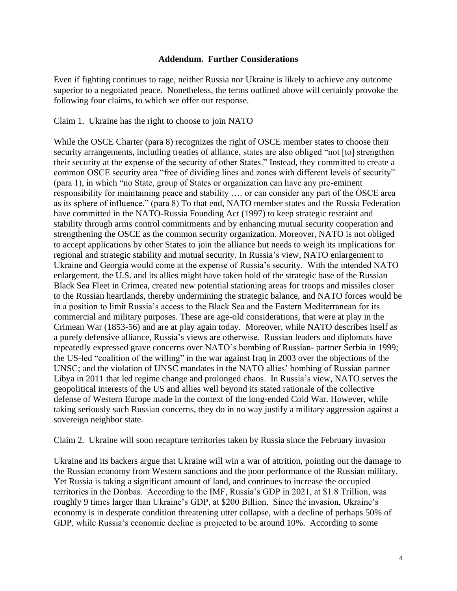## **Addendum. Further Considerations**

Even if fighting continues to rage, neither Russia nor Ukraine is likely to achieve any outcome superior to a negotiated peace. Nonetheless, the terms outlined above will certainly provoke the following four claims, to which we offer our response.

Claim 1. Ukraine has the right to choose to join NATO

While the OSCE Charter (para 8) recognizes the right of OSCE member states to choose their security arrangements, including treaties of alliance, states are also obliged "not [to] strengthen their security at the expense of the security of other States." Instead, they committed to create a common OSCE security area "free of dividing lines and zones with different levels of security" (para 1), in which "no State, group of States or organization can have any pre-eminent responsibility for maintaining peace and stability …. or can consider any part of the OSCE area as its sphere of influence." (para 8) To that end, NATO member states and the Russia Federation have committed in the NATO-Russia Founding Act (1997) to keep strategic restraint and stability through arms control commitments and by enhancing mutual security cooperation and strengthening the OSCE as the common security organization. Moreover, NATO is not obliged to accept applications by other States to join the alliance but needs to weigh its implications for regional and strategic stability and mutual security. In Russia's view, NATO enlargement to Ukraine and Georgia would come at the expense of Russia's security. With the intended NATO enlargement, the U.S. and its allies might have taken hold of the strategic base of the Russian Black Sea Fleet in Crimea, created new potential stationing areas for troops and missiles closer to the Russian heartlands, thereby undermining the strategic balance, and NATO forces would be in a position to limit Russia's access to the Black Sea and the Eastern Mediterranean for its commercial and military purposes. These are age-old considerations, that were at play in the Crimean War (1853-56) and are at play again today. Moreover, while NATO describes itself as a purely defensive alliance, Russia's views are otherwise. Russian leaders and diplomats have repeatedly expressed grave concerns over NATO's bombing of Russian- partner Serbia in 1999; the US-led "coalition of the willing" in the war against Iraq in 2003 over the objections of the UNSC; and the violation of UNSC mandates in the NATO allies' bombing of Russian partner Libya in 2011 that led regime change and prolonged chaos. In Russia's view, NATO serves the geopolitical interests of the US and allies well beyond its stated rationale of the collective defense of Western Europe made in the context of the long-ended Cold War. However, while taking seriously such Russian concerns, they do in no way justify a military aggression against a sovereign neighbor state.

Claim 2. Ukraine will soon recapture territories taken by Russia since the February invasion

Ukraine and its backers argue that Ukraine will win a war of attrition, pointing out the damage to the Russian economy from Western sanctions and the poor performance of the Russian military. Yet Russia is taking a significant amount of land, and continues to increase the occupied territories in the Donbas. According to the IMF, Russia's GDP in 2021, at \$1.8 Trillion, was roughly 9 times larger than Ukraine's GDP, at \$200 Billion. Since the invasion, Ukraine's economy is in desperate condition threatening utter collapse, with a decline of perhaps 50% of GDP, while Russia's economic decline is projected to be around 10%. According to some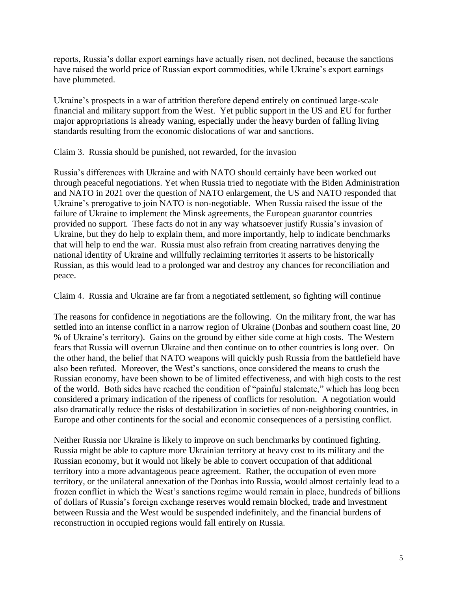reports, Russia's dollar export earnings have actually risen, not declined, because the sanctions have raised the world price of Russian export commodities, while Ukraine's export earnings have plummeted.

Ukraine's prospects in a war of attrition therefore depend entirely on continued large-scale financial and military support from the West. Yet public support in the US and EU for further major appropriations is already waning, especially under the heavy burden of falling living standards resulting from the economic dislocations of war and sanctions.

Claim 3. Russia should be punished, not rewarded, for the invasion

Russia's differences with Ukraine and with NATO should certainly have been worked out through peaceful negotiations. Yet when Russia tried to negotiate with the Biden Administration and NATO in 2021 over the question of NATO enlargement, the US and NATO responded that Ukraine's prerogative to join NATO is non-negotiable. When Russia raised the issue of the failure of Ukraine to implement the Minsk agreements, the European guarantor countries provided no support. These facts do not in any way whatsoever justify Russia's invasion of Ukraine, but they do help to explain them, and more importantly, help to indicate benchmarks that will help to end the war. Russia must also refrain from creating narratives denying the national identity of Ukraine and willfully reclaiming territories it asserts to be historically Russian, as this would lead to a prolonged war and destroy any chances for reconciliation and peace.

Claim 4. Russia and Ukraine are far from a negotiated settlement, so fighting will continue

The reasons for confidence in negotiations are the following. On the military front, the war has settled into an intense conflict in a narrow region of Ukraine (Donbas and southern coast line, 20 % of Ukraine's territory). Gains on the ground by either side come at high costs. The Western fears that Russia will overrun Ukraine and then continue on to other countries is long over. On the other hand, the belief that NATO weapons will quickly push Russia from the battlefield have also been refuted. Moreover, the West's sanctions, once considered the means to crush the Russian economy, have been shown to be of limited effectiveness, and with high costs to the rest of the world. Both sides have reached the condition of "painful stalemate," which has long been considered a primary indication of the ripeness of conflicts for resolution. A negotiation would also dramatically reduce the risks of destabilization in societies of non-neighboring countries, in Europe and other continents for the social and economic consequences of a persisting conflict.

Neither Russia nor Ukraine is likely to improve on such benchmarks by continued fighting. Russia might be able to capture more Ukrainian territory at heavy cost to its military and the Russian economy, but it would not likely be able to convert occupation of that additional territory into a more advantageous peace agreement. Rather, the occupation of even more territory, or the unilateral annexation of the Donbas into Russia, would almost certainly lead to a frozen conflict in which the West's sanctions regime would remain in place, hundreds of billions of dollars of Russia's foreign exchange reserves would remain blocked, trade and investment between Russia and the West would be suspended indefinitely, and the financial burdens of reconstruction in occupied regions would fall entirely on Russia.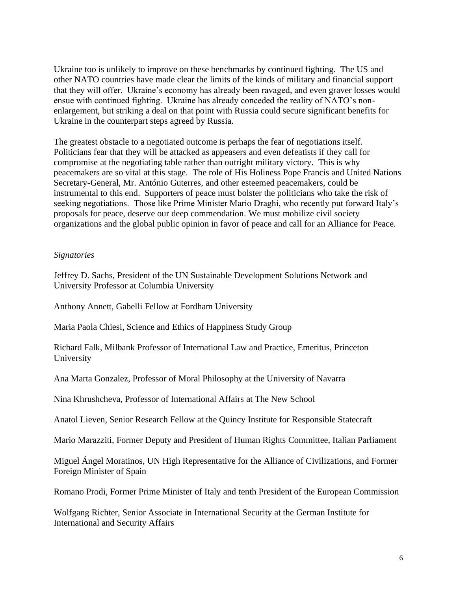Ukraine too is unlikely to improve on these benchmarks by continued fighting. The US and other NATO countries have made clear the limits of the kinds of military and financial support that they will offer. Ukraine's economy has already been ravaged, and even graver losses would ensue with continued fighting. Ukraine has already conceded the reality of NATO's nonenlargement, but striking a deal on that point with Russia could secure significant benefits for Ukraine in the counterpart steps agreed by Russia.

The greatest obstacle to a negotiated outcome is perhaps the fear of negotiations itself. Politicians fear that they will be attacked as appeasers and even defeatists if they call for compromise at the negotiating table rather than outright military victory. This is why peacemakers are so vital at this stage. The role of His Holiness Pope Francis and United Nations Secretary-General, Mr. António Guterres, and other esteemed peacemakers, could be instrumental to this end. Supporters of peace must bolster the politicians who take the risk of seeking negotiations. Those like Prime Minister Mario Draghi, who recently put forward Italy's proposals for peace, deserve our deep commendation. We must mobilize civil society organizations and the global public opinion in favor of peace and call for an Alliance for Peace.

## *Signatories*

Jeffrey D. Sachs, President of the UN Sustainable Development Solutions Network and University Professor at Columbia University

Anthony Annett, Gabelli Fellow at Fordham University

Maria Paola Chiesi, Science and Ethics of Happiness Study Group

Richard Falk, Milbank Professor of International Law and Practice, Emeritus, Princeton University

Ana Marta Gonzalez, Professor of Moral Philosophy at the University of Navarra

Nina Khrushcheva, Professor of International Affairs at The New School

Anatol Lieven, Senior Research Fellow at the Quincy Institute for Responsible Statecraft

Mario Marazziti, Former Deputy and President of Human Rights Committee, Italian Parliament

Miguel Ángel Moratinos, UN High Representative for the Alliance of Civilizations, and Former Foreign Minister of Spain

Romano Prodi, Former Prime Minister of Italy and tenth President of the European Commission

Wolfgang Richter, Senior Associate in International Security at the German Institute for International and Security Affairs